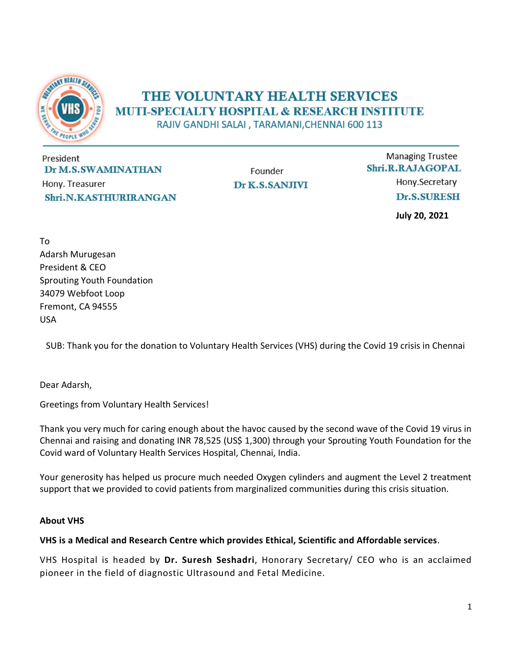

## THE VOLUNTARY HEALTH SERVICES **MUTI-SPECIALTY HOSPITAL & RESEARCH INSTITUTE**

RAJIV GANDHI SALAI, TARAMANI, CHENNAI 600 113

President Dr M.S.SWAMINATHAN Hony. Treasurer Shri.N.KASTHURIRANGAN

Founder Dr K.S.SANJIVI

**Managing Trustee** Shri.R.RAJAGOPAL Hony.Secretary Dr.S.SURESH

July 20, 2021

To Adarsh Murugesan President & CEO Sprouting Youth Foundation 34079 Webfoot Loop Fremont, CA 94555 USA

SUB: Thank you for the donation to Voluntary Health Services (VHS) during the Covid 19 crisis in Chennai

Dear Adarsh,

Greetings from Voluntary Health Services!

Thank you very much for caring enough about the havoc caused by the second wave of the Covid 19 virus in Chennai and raising and donating INR 78,525 (US\$ 1,300) through your Sprouting Youth Foundation for the Covid ward of Voluntary Health Services Hospital, Chennai, India.

Your generosity has helped us procure much needed Oxygen cylinders and augment the Level 2 treatment support that we provided to covid patients from marginalized communities during this crisis situation.

## About VHS

## VHS is a Medical and Research Centre which provides Ethical, Scientific and Affordable services.

VHS Hospital is headed by Dr. Suresh Seshadri, Honorary Secretary/ CEO who is an acclaimed pioneer in the field of diagnostic Ultrasound and Fetal Medicine.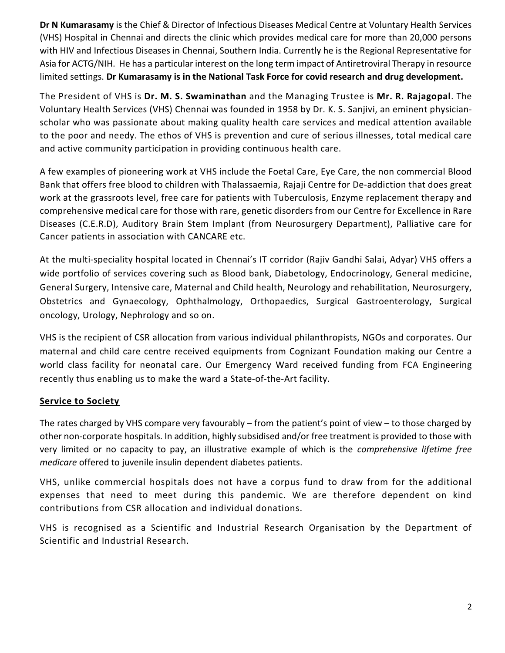Dr N Kumarasamy is the Chief & Director of Infectious Diseases Medical Centre at Voluntary Health Services (VHS) Hospital in Chennai and directs the clinic which provides medical care for more than 20,000 persons with HIV and Infectious Diseases in Chennai, Southern India. Currently he is the Regional Representative for Asia for ACTG/NIH. He has a particular interest on the long term impact of Antiretroviral Therapy in resource limited settings. Dr Kumarasamy is in the National Task Force for covid research and drug development.

The President of VHS is Dr. M. S. Swaminathan and the Managing Trustee is Mr. R. Rajagopal. The Voluntary Health Services (VHS) Chennai was founded in 1958 by Dr. K. S. Sanjivi, an eminent physicianscholar who was passionate about making quality health care services and medical attention available to the poor and needy. The ethos of VHS is prevention and cure of serious illnesses, total medical care and active community participation in providing continuous health care.

A few examples of pioneering work at VHS include the Foetal Care, Eye Care, the non commercial Blood Bank that offers free blood to children with Thalassaemia, Rajaji Centre for De-addiction that does great work at the grassroots level, free care for patients with Tuberculosis, Enzyme replacement therapy and comprehensive medical care for those with rare, genetic disorders from our Centre for Excellence in Rare Diseases (C.E.R.D), Auditory Brain Stem Implant (from Neurosurgery Department), Palliative care for Cancer patients in association with CANCARE etc.

At the multi-speciality hospital located in Chennai's IT corridor (Rajiv Gandhi Salai, Adyar) VHS offers a wide portfolio of services covering such as Blood bank, Diabetology, Endocrinology, General medicine, General Surgery, Intensive care, Maternal and Child health, Neurology and rehabilitation, Neurosurgery, Obstetrics and Gynaecology, Ophthalmology, Orthopaedics, Surgical Gastroenterology, Surgical oncology, Urology, Nephrology and so on.

VHS is the recipient of CSR allocation from various individual philanthropists, NGOs and corporates. Our maternal and child care centre received equipments from Cognizant Foundation making our Centre a world class facility for neonatal care. Our Emergency Ward received funding from FCA Engineering recently thus enabling us to make the ward a State-of-the-Art facility.

## Service to Society

The rates charged by VHS compare very favourably – from the patient's point of view – to those charged by other non-corporate hospitals. In addition, highly subsidised and/or free treatment is provided to those with very limited or no capacity to pay, an illustrative example of which is the comprehensive lifetime free medicare offered to juvenile insulin dependent diabetes patients.

VHS, unlike commercial hospitals does not have a corpus fund to draw from for the additional expenses that need to meet during this pandemic. We are therefore dependent on kind contributions from CSR allocation and individual donations.

VHS is recognised as a Scientific and Industrial Research Organisation by the Department of Scientific and Industrial Research.